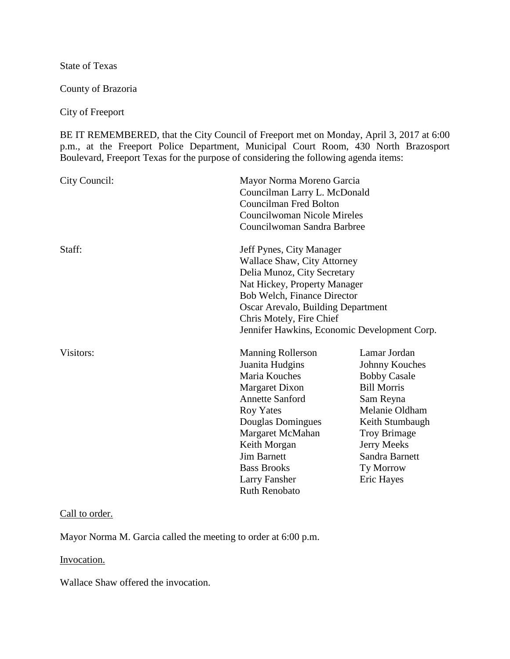State of Texas

County of Brazoria

City of Freeport

BE IT REMEMBERED, that the City Council of Freeport met on Monday, April 3, 2017 at 6:00 p.m., at the Freeport Police Department, Municipal Court Room, 430 North Brazosport Boulevard, Freeport Texas for the purpose of considering the following agenda items:

| City Council: | <b>Councilman Fred Bolton</b>                                                                                                                                                                                                                                                            | Mayor Norma Moreno Garcia<br>Councilman Larry L. McDonald<br><b>Councilwoman Nicole Mireles</b><br>Councilwoman Sandra Barbree                                                                                   |  |
|---------------|------------------------------------------------------------------------------------------------------------------------------------------------------------------------------------------------------------------------------------------------------------------------------------------|------------------------------------------------------------------------------------------------------------------------------------------------------------------------------------------------------------------|--|
| Staff:        | Jeff Pynes, City Manager<br><b>Wallace Shaw, City Attorney</b><br>Delia Munoz, City Secretary<br>Nat Hickey, Property Manager<br>Bob Welch, Finance Director<br>Oscar Arevalo, Building Department<br>Chris Motely, Fire Chief<br>Jennifer Hawkins, Economic Development Corp.           |                                                                                                                                                                                                                  |  |
| Visitors:     | <b>Manning Rollerson</b><br>Juanita Hudgins<br>Maria Kouches<br><b>Margaret Dixon</b><br><b>Annette Sanford</b><br><b>Roy Yates</b><br>Douglas Domingues<br>Margaret McMahan<br>Keith Morgan<br><b>Jim Barnett</b><br><b>Bass Brooks</b><br><b>Larry Fansher</b><br><b>Ruth Renobato</b> | Lamar Jordan<br>Johnny Kouches<br><b>Bobby Casale</b><br><b>Bill Morris</b><br>Sam Reyna<br>Melanie Oldham<br>Keith Stumbaugh<br><b>Troy Brimage</b><br>Jerry Meeks<br>Sandra Barnett<br>Ty Morrow<br>Eric Hayes |  |

## Call to order.

Mayor Norma M. Garcia called the meeting to order at 6:00 p.m.

## Invocation.

Wallace Shaw offered the invocation.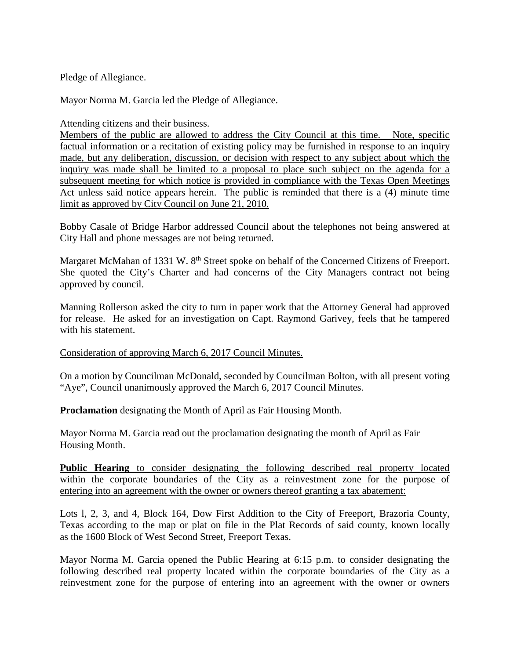Pledge of Allegiance.

Mayor Norma M. Garcia led the Pledge of Allegiance.

Attending citizens and their business.

Members of the public are allowed to address the City Council at this time. Note, specific factual information or a recitation of existing policy may be furnished in response to an inquiry made, but any deliberation, discussion, or decision with respect to any subject about which the inquiry was made shall be limited to a proposal to place such subject on the agenda for a subsequent meeting for which notice is provided in compliance with the Texas Open Meetings Act unless said notice appears herein. The public is reminded that there is a (4) minute time limit as approved by City Council on June 21, 2010.

Bobby Casale of Bridge Harbor addressed Council about the telephones not being answered at City Hall and phone messages are not being returned.

Margaret McMahan of 1331 W. 8<sup>th</sup> Street spoke on behalf of the Concerned Citizens of Freeport. She quoted the City's Charter and had concerns of the City Managers contract not being approved by council.

Manning Rollerson asked the city to turn in paper work that the Attorney General had approved for release. He asked for an investigation on Capt. Raymond Garivey, feels that he tampered with his statement.

## Consideration of approving March 6, 2017 Council Minutes.

On a motion by Councilman McDonald, seconded by Councilman Bolton, with all present voting "Aye", Council unanimously approved the March 6, 2017 Council Minutes.

## **Proclamation** designating the Month of April as Fair Housing Month.

Mayor Norma M. Garcia read out the proclamation designating the month of April as Fair Housing Month.

**Public Hearing** to consider designating the following described real property located within the corporate boundaries of the City as a reinvestment zone for the purpose of entering into an agreement with the owner or owners thereof granting a tax abatement:

Lots l, 2, 3, and 4, Block 164, Dow First Addition to the City of Freeport, Brazoria County, Texas according to the map or plat on file in the Plat Records of said county, known locally as the 1600 Block of West Second Street, Freeport Texas.

Mayor Norma M. Garcia opened the Public Hearing at 6:15 p.m. to consider designating the following described real property located within the corporate boundaries of the City as a reinvestment zone for the purpose of entering into an agreement with the owner or owners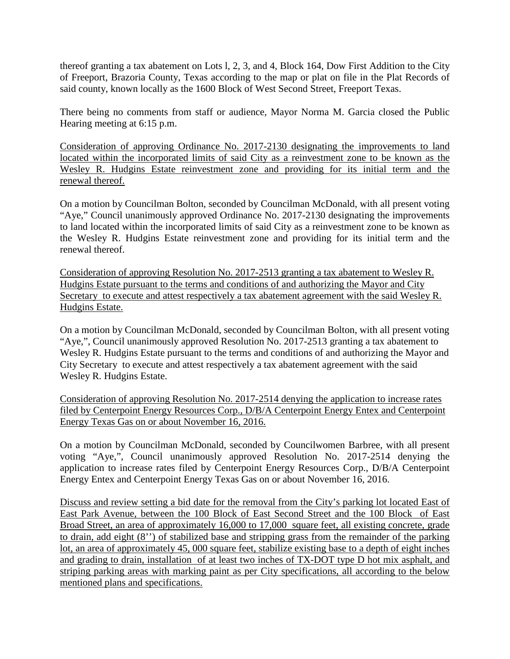thereof granting a tax abatement on Lots l, 2, 3, and 4, Block 164, Dow First Addition to the City of Freeport, Brazoria County, Texas according to the map or plat on file in the Plat Records of said county, known locally as the 1600 Block of West Second Street, Freeport Texas.

There being no comments from staff or audience, Mayor Norma M. Garcia closed the Public Hearing meeting at 6:15 p.m.

Consideration of approving Ordinance No. 2017-2130 designating the improvements to land located within the incorporated limits of said City as a reinvestment zone to be known as the Wesley R. Hudgins Estate reinvestment zone and providing for its initial term and the renewal thereof.

On a motion by Councilman Bolton, seconded by Councilman McDonald, with all present voting "Aye," Council unanimously approved Ordinance No. 2017-2130 designating the improvements to land located within the incorporated limits of said City as a reinvestment zone to be known as the Wesley R. Hudgins Estate reinvestment zone and providing for its initial term and the renewal thereof.

Consideration of approving Resolution No. 2017-2513 granting a tax abatement to Wesley R. Hudgins Estate pursuant to the terms and conditions of and authorizing the Mayor and City Secretary to execute and attest respectively a tax abatement agreement with the said Wesley R. Hudgins Estate.

On a motion by Councilman McDonald, seconded by Councilman Bolton, with all present voting "Aye,", Council unanimously approved Resolution No. 2017-2513 granting a tax abatement to Wesley R. Hudgins Estate pursuant to the terms and conditions of and authorizing the Mayor and City Secretary to execute and attest respectively a tax abatement agreement with the said Wesley R. Hudgins Estate.

Consideration of approving Resolution No. 2017-2514 denying the application to increase rates filed by Centerpoint Energy Resources Corp., D/B/A Centerpoint Energy Entex and Centerpoint Energy Texas Gas on or about November 16, 2016.

On a motion by Councilman McDonald, seconded by Councilwomen Barbree, with all present voting "Aye,", Council unanimously approved Resolution No. 2017-2514 denying the application to increase rates filed by Centerpoint Energy Resources Corp., D/B/A Centerpoint Energy Entex and Centerpoint Energy Texas Gas on or about November 16, 2016.

Discuss and review setting a bid date for the removal from the City's parking lot located East of East Park Avenue, between the 100 Block of East Second Street and the 100 Block of East Broad Street, an area of approximately 16,000 to 17,000 square feet, all existing concrete, grade to drain, add eight (8'') of stabilized base and stripping grass from the remainder of the parking lot, an area of approximately 45, 000 square feet, stabilize existing base to a depth of eight inches and grading to drain, installation of at least two inches of TX-DOT type D hot mix asphalt, and striping parking areas with marking paint as per City specifications, all according to the below mentioned plans and specifications.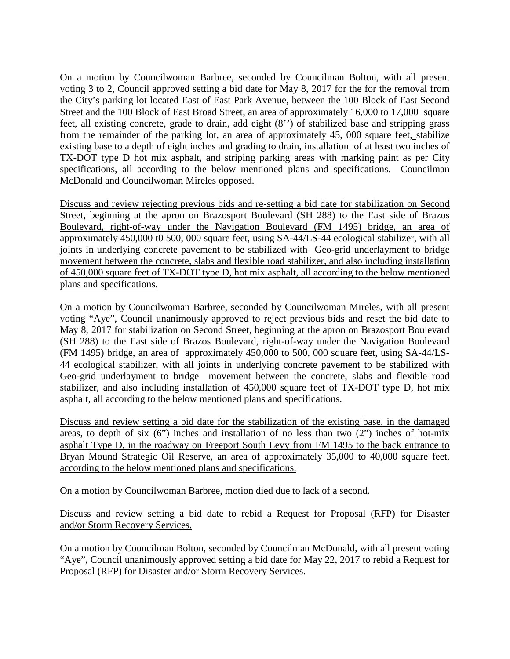On a motion by Councilwoman Barbree, seconded by Councilman Bolton, with all present voting 3 to 2, Council approved setting a bid date for May 8, 2017 for the for the removal from the City's parking lot located East of East Park Avenue, between the 100 Block of East Second Street and the 100 Block of East Broad Street, an area of approximately 16,000 to 17,000 square feet, all existing concrete, grade to drain, add eight (8'') of stabilized base and stripping grass from the remainder of the parking lot, an area of approximately 45, 000 square feet, stabilize existing base to a depth of eight inches and grading to drain, installation of at least two inches of TX-DOT type D hot mix asphalt, and striping parking areas with marking paint as per City specifications, all according to the below mentioned plans and specifications. Councilman McDonald and Councilwoman Mireles opposed.

Discuss and review rejecting previous bids and re-setting a bid date for stabilization on Second Street, beginning at the apron on Brazosport Boulevard (SH 288) to the East side of Brazos Boulevard, right-of-way under the Navigation Boulevard (FM 1495) bridge, an area of approximately 450,000 t0 500, 000 square feet, using SA-44/LS-44 ecological stabilizer, with all joints in underlying concrete pavement to be stabilized with Geo-grid underlayment to bridge movement between the concrete, slabs and flexible road stabilizer, and also including installation of 450,000 square feet of TX-DOT type D, hot mix asphalt, all according to the below mentioned plans and specifications.

On a motion by Councilwoman Barbree, seconded by Councilwoman Mireles, with all present voting "Aye", Council unanimously approved to reject previous bids and reset the bid date to May 8, 2017 for stabilization on Second Street, beginning at the apron on Brazosport Boulevard (SH 288) to the East side of Brazos Boulevard, right-of-way under the Navigation Boulevard (FM 1495) bridge, an area of approximately 450,000 to 500, 000 square feet, using SA-44/LS-44 ecological stabilizer, with all joints in underlying concrete pavement to be stabilized with Geo-grid underlayment to bridge movement between the concrete, slabs and flexible road stabilizer, and also including installation of 450,000 square feet of TX-DOT type D, hot mix asphalt, all according to the below mentioned plans and specifications.

Discuss and review setting a bid date for the stabilization of the existing base, in the damaged areas, to depth of six  $(6)$  inches and installation of no less than two  $(2)$  inches of hot-mix asphalt Type D, in the roadway on Freeport South Levy from FM 1495 to the back entrance to Bryan Mound Strategic Oil Reserve, an area of approximately 35,000 to 40,000 square feet, according to the below mentioned plans and specifications.

On a motion by Councilwoman Barbree, motion died due to lack of a second.

Discuss and review setting a bid date to rebid a Request for Proposal (RFP) for Disaster and/or Storm Recovery Services.

On a motion by Councilman Bolton, seconded by Councilman McDonald, with all present voting "Aye", Council unanimously approved setting a bid date for May 22, 2017 to rebid a Request for Proposal (RFP) for Disaster and/or Storm Recovery Services.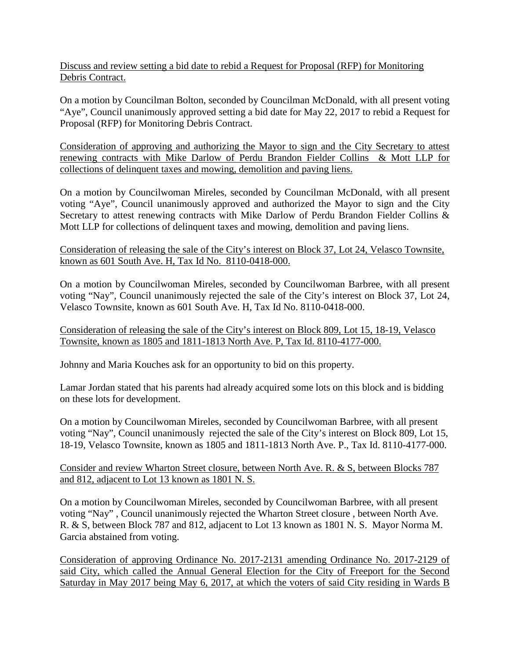Discuss and review setting a bid date to rebid a Request for Proposal (RFP) for Monitoring Debris Contract.

On a motion by Councilman Bolton, seconded by Councilman McDonald, with all present voting "Aye", Council unanimously approved setting a bid date for May 22, 2017 to rebid a Request for Proposal (RFP) for Monitoring Debris Contract.

Consideration of approving and authorizing the Mayor to sign and the City Secretary to attest renewing contracts with Mike Darlow of Perdu Brandon Fielder Collins & Mott LLP for collections of delinquent taxes and mowing, demolition and paving liens.

On a motion by Councilwoman Mireles, seconded by Councilman McDonald, with all present voting "Aye", Council unanimously approved and authorized the Mayor to sign and the City Secretary to attest renewing contracts with Mike Darlow of Perdu Brandon Fielder Collins & Mott LLP for collections of delinquent taxes and mowing, demolition and paving liens.

Consideration of releasing the sale of the City's interest on Block 37, Lot 24, Velasco Townsite, known as 601 South Ave. H, Tax Id No. 8110-0418-000.

On a motion by Councilwoman Mireles, seconded by Councilwoman Barbree, with all present voting "Nay", Council unanimously rejected the sale of the City's interest on Block 37, Lot 24, Velasco Townsite, known as 601 South Ave. H, Tax Id No. 8110-0418-000.

Consideration of releasing the sale of the City's interest on Block 809, Lot 15, 18-19, Velasco Townsite, known as 1805 and 1811-1813 North Ave. P, Tax Id. 8110-4177-000.

Johnny and Maria Kouches ask for an opportunity to bid on this property.

Lamar Jordan stated that his parents had already acquired some lots on this block and is bidding on these lots for development.

On a motion by Councilwoman Mireles, seconded by Councilwoman Barbree, with all present voting "Nay", Council unanimously rejected the sale of the City's interest on Block 809, Lot 15, 18-19, Velasco Townsite, known as 1805 and 1811-1813 North Ave. P., Tax Id. 8110-4177-000.

Consider and review Wharton Street closure, between North Ave. R. & S, between Blocks 787 and 812, adjacent to Lot 13 known as 1801 N. S.

On a motion by Councilwoman Mireles, seconded by Councilwoman Barbree, with all present voting "Nay" , Council unanimously rejected the Wharton Street closure , between North Ave. R. & S, between Block 787 and 812, adjacent to Lot 13 known as 1801 N. S. Mayor Norma M. Garcia abstained from voting.

Consideration of approving Ordinance No. 2017-2131 amending Ordinance No. 2017-2129 of said City, which called the Annual General Election for the City of Freeport for the Second Saturday in May 2017 being May 6, 2017, at which the voters of said City residing in Wards B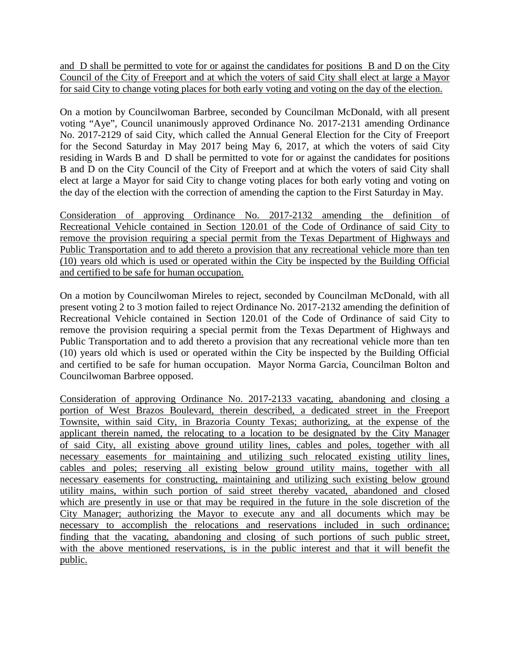and D shall be permitted to vote for or against the candidates for positions B and D on the City Council of the City of Freeport and at which the voters of said City shall elect at large a Mayor for said City to change voting places for both early voting and voting on the day of the election.

On a motion by Councilwoman Barbree, seconded by Councilman McDonald, with all present voting "Aye", Council unanimously approved Ordinance No. 2017-2131 amending Ordinance No. 2017-2129 of said City, which called the Annual General Election for the City of Freeport for the Second Saturday in May 2017 being May 6, 2017, at which the voters of said City residing in Wards B and D shall be permitted to vote for or against the candidates for positions B and D on the City Council of the City of Freeport and at which the voters of said City shall elect at large a Mayor for said City to change voting places for both early voting and voting on the day of the election with the correction of amending the caption to the First Saturday in May.

Consideration of approving Ordinance No. 2017-2132 amending the definition of Recreational Vehicle contained in Section 120.01 of the Code of Ordinance of said City to remove the provision requiring a special permit from the Texas Department of Highways and Public Transportation and to add thereto a provision that any recreational vehicle more than ten (10) years old which is used or operated within the City be inspected by the Building Official and certified to be safe for human occupation.

On a motion by Councilwoman Mireles to reject, seconded by Councilman McDonald, with all present voting 2 to 3 motion failed to reject Ordinance No. 2017-2132 amending the definition of Recreational Vehicle contained in Section 120.01 of the Code of Ordinance of said City to remove the provision requiring a special permit from the Texas Department of Highways and Public Transportation and to add thereto a provision that any recreational vehicle more than ten (10) years old which is used or operated within the City be inspected by the Building Official and certified to be safe for human occupation. Mayor Norma Garcia, Councilman Bolton and Councilwoman Barbree opposed.

Consideration of approving Ordinance No. 2017-2133 vacating, abandoning and closing a portion of West Brazos Boulevard, therein described, a dedicated street in the Freeport Townsite, within said City, in Brazoria County Texas; authorizing, at the expense of the applicant therein named, the relocating to a location to be designated by the City Manager of said City, all existing above ground utility lines, cables and poles, together with all necessary easements for maintaining and utilizing such relocated existing utility lines, cables and poles; reserving all existing below ground utility mains, together with all necessary easements for constructing, maintaining and utilizing such existing below ground utility mains, within such portion of said street thereby vacated, abandoned and closed which are presently in use or that may be required in the future in the sole discretion of the City Manager; authorizing the Mayor to execute any and all documents which may be necessary to accomplish the relocations and reservations included in such ordinance; finding that the vacating, abandoning and closing of such portions of such public street, with the above mentioned reservations, is in the public interest and that it will benefit the public.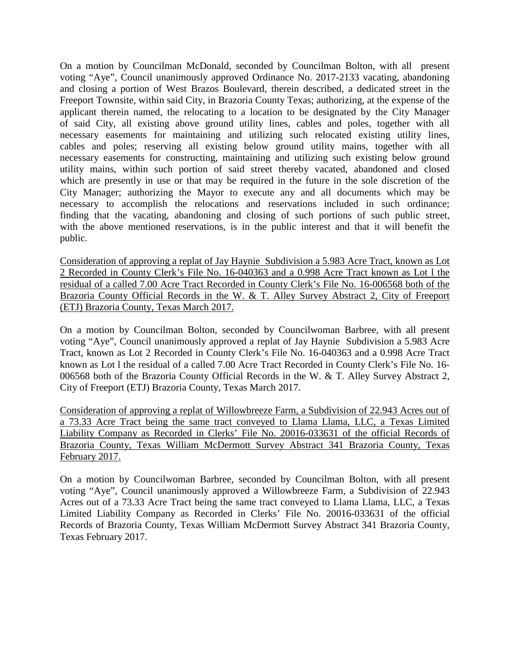On a motion by Councilman McDonald, seconded by Councilman Bolton, with all present voting "Aye", Council unanimously approved Ordinance No. 2017-2133 vacating, abandoning and closing a portion of West Brazos Boulevard, therein described, a dedicated street in the Freeport Townsite, within said City, in Brazoria County Texas; authorizing, at the expense of the applicant therein named, the relocating to a location to be designated by the City Manager of said City, all existing above ground utility lines, cables and poles, together with all necessary easements for maintaining and utilizing such relocated existing utility lines, cables and poles; reserving all existing below ground utility mains, together with all necessary easements for constructing, maintaining and utilizing such existing below ground utility mains, within such portion of said street thereby vacated, abandoned and closed which are presently in use or that may be required in the future in the sole discretion of the City Manager; authorizing the Mayor to execute any and all documents which may be necessary to accomplish the relocations and reservations included in such ordinance; finding that the vacating, abandoning and closing of such portions of such public street, with the above mentioned reservations, is in the public interest and that it will benefit the public.

Consideration of approving a replat of Jay Haynie Subdivision a 5.983 Acre Tract, known as Lot 2 Recorded in County Clerk's File No. 16-040363 and a 0.998 Acre Tract known as Lot l the residual of a called 7.00 Acre Tract Recorded in County Clerk's File No. 16-006568 both of the Brazoria County Official Records in the W. & T. Alley Survey Abstract 2, City of Freeport (ETJ) Brazoria County, Texas March 2017.

On a motion by Councilman Bolton, seconded by Councilwoman Barbree, with all present voting "Aye", Council unanimously approved a replat of Jay Haynie Subdivision a 5.983 Acre Tract, known as Lot 2 Recorded in County Clerk's File No. 16-040363 and a 0.998 Acre Tract known as Lot l the residual of a called 7.00 Acre Tract Recorded in County Clerk's File No. 16- 006568 both of the Brazoria County Official Records in the W. & T. Alley Survey Abstract 2, City of Freeport (ETJ) Brazoria County, Texas March 2017.

Consideration of approving a replat of Willowbreeze Farm, a Subdivision of 22.943 Acres out of a 73.33 Acre Tract being the same tract conveyed to Llama Llama, LLC, a Texas Limited Liability Company as Recorded in Clerks' File No. 20016-033631 of the official Records of Brazoria County, Texas William McDermott Survey Abstract 341 Brazoria County, Texas February 2017.

On a motion by Councilwoman Barbree, seconded by Councilman Bolton, with all present voting "Aye", Council unanimously approved a Willowbreeze Farm, a Subdivision of 22.943 Acres out of a 73.33 Acre Tract being the same tract conveyed to Llama Llama, LLC, a Texas Limited Liability Company as Recorded in Clerks' File No. 20016-033631 of the official Records of Brazoria County, Texas William McDermott Survey Abstract 341 Brazoria County, Texas February 2017.